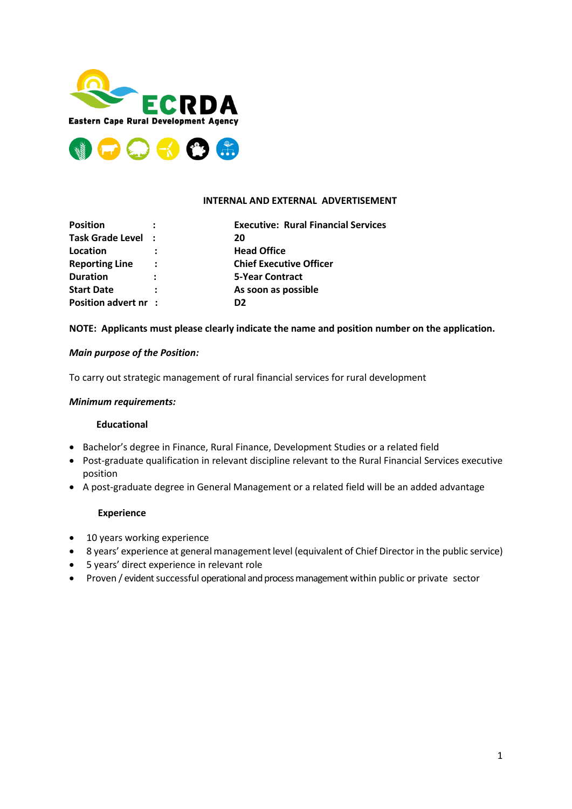



#### **INTERNAL AND EXTERNAL ADVERTISEMENT**

| <b>Position</b>       |         | <b>Executive: Rural Financial Services</b> |
|-----------------------|---------|--------------------------------------------|
| Task Grade Level :    |         | 20                                         |
| Location              |         | <b>Head Office</b>                         |
| <b>Reporting Line</b> | $\cdot$ | <b>Chief Executive Officer</b>             |
| <b>Duration</b>       | ÷       | <b>5-Year Contract</b>                     |
| <b>Start Date</b>     |         | As soon as possible                        |
| Position advert nr :  |         | D <sub>2</sub>                             |

### **NOTE: Applicants must please clearly indicate the name and position number on the application.**

### *Main purpose of the Position:*

To carry out strategic management of rural financial services for rural development

#### *Minimum requirements:*

#### **Educational**

- Bachelor's degree in Finance, Rural Finance, Development Studies or a related field
- Post-graduate qualification in relevant discipline relevant to the Rural Financial Services executive position
- A post-graduate degree in General Management or a related field will be an added advantage

#### **Experience**

- 10 years working experience
- 8 years' experience at general management level (equivalent of Chief Director in the public service)
- 5 years' direct experience in relevant role
- Proven / evident successful operational and process management within public or private sector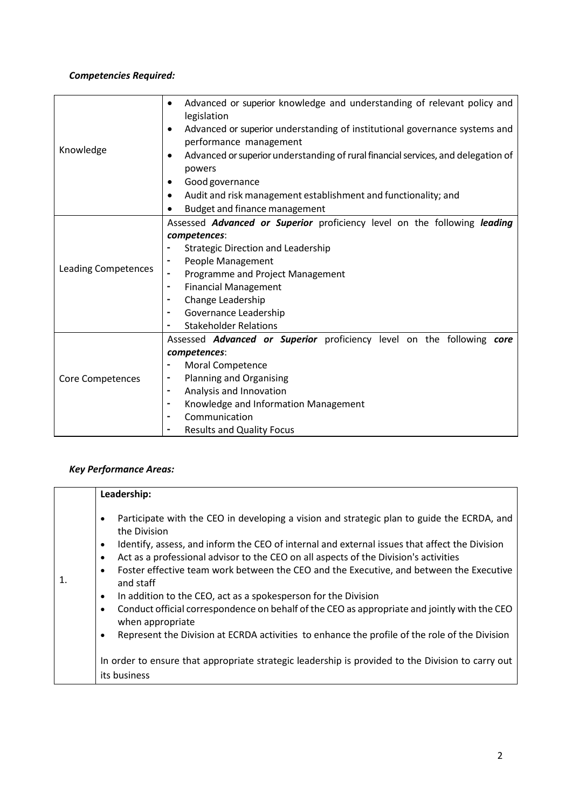# *Competencies Required:*

| Knowledge                  | Advanced or superior knowledge and understanding of relevant policy and<br>$\bullet$<br>legislation |  |
|----------------------------|-----------------------------------------------------------------------------------------------------|--|
|                            | Advanced or superior understanding of institutional governance systems and<br>$\bullet$             |  |
|                            | performance management                                                                              |  |
|                            | Advanced or superior understanding of rural financial services, and delegation of<br>$\bullet$      |  |
|                            | powers                                                                                              |  |
|                            | Good governance                                                                                     |  |
|                            | Audit and risk management establishment and functionality; and<br>$\bullet$                         |  |
|                            | Budget and finance management                                                                       |  |
|                            | Assessed Advanced or Superior proficiency level on the following leading                            |  |
|                            | competences:                                                                                        |  |
|                            | <b>Strategic Direction and Leadership</b>                                                           |  |
| <b>Leading Competences</b> | People Management<br>۰                                                                              |  |
|                            | Programme and Project Management<br>۰                                                               |  |
|                            | <b>Financial Management</b><br>۰                                                                    |  |
|                            | Change Leadership                                                                                   |  |
|                            | Governance Leadership<br>$\blacksquare$                                                             |  |
|                            | <b>Stakeholder Relations</b><br>-                                                                   |  |
|                            | Assessed Advanced or Superior proficiency level on the following core                               |  |
|                            | competences:                                                                                        |  |
|                            | <b>Moral Competence</b>                                                                             |  |
| Core Competences           | Planning and Organising                                                                             |  |
|                            | Analysis and Innovation<br>$\blacksquare$                                                           |  |
|                            | Knowledge and Information Management<br>$\blacksquare$                                              |  |
|                            | Communication<br>$\blacksquare$                                                                     |  |
|                            | <b>Results and Quality Focus</b>                                                                    |  |

# *Key Performance Areas:*

|    | Leadership:                                                                                                                                                                                                                                                                                                                                                                                                                                                                                                                                                                                                                                                                                                                                                                                                                                                                                                        |
|----|--------------------------------------------------------------------------------------------------------------------------------------------------------------------------------------------------------------------------------------------------------------------------------------------------------------------------------------------------------------------------------------------------------------------------------------------------------------------------------------------------------------------------------------------------------------------------------------------------------------------------------------------------------------------------------------------------------------------------------------------------------------------------------------------------------------------------------------------------------------------------------------------------------------------|
| 1. | Participate with the CEO in developing a vision and strategic plan to guide the ECRDA, and<br>$\bullet$<br>the Division<br>Identify, assess, and inform the CEO of internal and external issues that affect the Division<br>$\bullet$<br>Act as a professional advisor to the CEO on all aspects of the Division's activities<br>$\bullet$<br>Foster effective team work between the CEO and the Executive, and between the Executive<br>$\bullet$<br>and staff<br>In addition to the CEO, act as a spokesperson for the Division<br>$\bullet$<br>Conduct official correspondence on behalf of the CEO as appropriate and jointly with the CEO<br>$\bullet$<br>when appropriate<br>Represent the Division at ECRDA activities to enhance the profile of the role of the Division<br>$\bullet$<br>In order to ensure that appropriate strategic leadership is provided to the Division to carry out<br>its business |
|    |                                                                                                                                                                                                                                                                                                                                                                                                                                                                                                                                                                                                                                                                                                                                                                                                                                                                                                                    |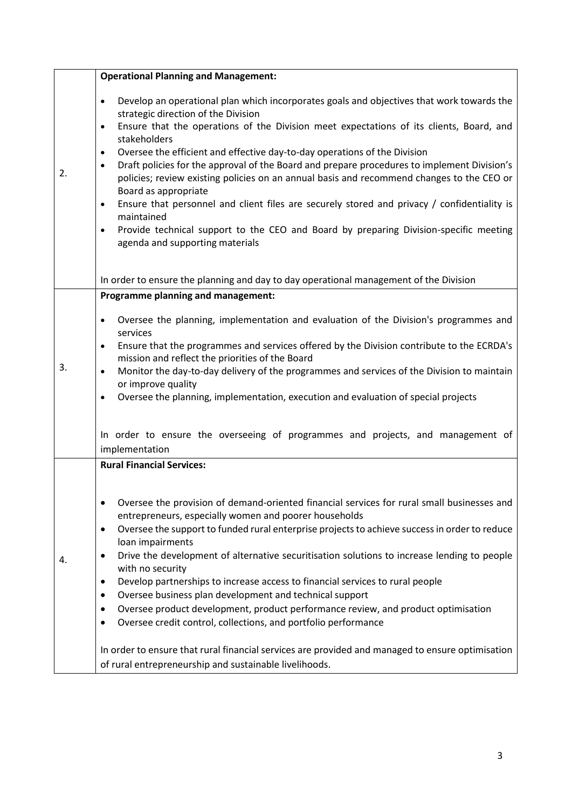|    | <b>Operational Planning and Management:</b>                                                                                                                                                                                                                                                                                                                                                                                                                                                                                                                                                                                                                                                                                                                                                                                                                                                                                                                         |
|----|---------------------------------------------------------------------------------------------------------------------------------------------------------------------------------------------------------------------------------------------------------------------------------------------------------------------------------------------------------------------------------------------------------------------------------------------------------------------------------------------------------------------------------------------------------------------------------------------------------------------------------------------------------------------------------------------------------------------------------------------------------------------------------------------------------------------------------------------------------------------------------------------------------------------------------------------------------------------|
| 2. | Develop an operational plan which incorporates goals and objectives that work towards the<br>$\bullet$<br>strategic direction of the Division<br>Ensure that the operations of the Division meet expectations of its clients, Board, and<br>$\bullet$<br>stakeholders<br>Oversee the efficient and effective day-to-day operations of the Division<br>$\bullet$<br>Draft policies for the approval of the Board and prepare procedures to implement Division's<br>$\bullet$<br>policies; review existing policies on an annual basis and recommend changes to the CEO or<br>Board as appropriate<br>Ensure that personnel and client files are securely stored and privacy / confidentiality is<br>$\bullet$<br>maintained<br>Provide technical support to the CEO and Board by preparing Division-specific meeting<br>$\bullet$<br>agenda and supporting materials                                                                                                 |
|    | In order to ensure the planning and day to day operational management of the Division                                                                                                                                                                                                                                                                                                                                                                                                                                                                                                                                                                                                                                                                                                                                                                                                                                                                               |
| 3. | Programme planning and management:<br>Oversee the planning, implementation and evaluation of the Division's programmes and<br>$\bullet$<br>services<br>Ensure that the programmes and services offered by the Division contribute to the ECRDA's<br>$\bullet$<br>mission and reflect the priorities of the Board<br>Monitor the day-to-day delivery of the programmes and services of the Division to maintain<br>$\bullet$<br>or improve quality<br>Oversee the planning, implementation, execution and evaluation of special projects<br>$\bullet$<br>In order to ensure the overseeing of programmes and projects, and management of<br>implementation                                                                                                                                                                                                                                                                                                           |
| 4. | <b>Rural Financial Services:</b><br>Oversee the provision of demand-oriented financial services for rural small businesses and<br>٠<br>entrepreneurs, especially women and poorer households<br>Oversee the support to funded rural enterprise projects to achieve success in order to reduce<br>$\bullet$<br>loan impairments<br>Drive the development of alternative securitisation solutions to increase lending to people<br>$\bullet$<br>with no security<br>Develop partnerships to increase access to financial services to rural people<br>$\bullet$<br>Oversee business plan development and technical support<br>$\bullet$<br>Oversee product development, product performance review, and product optimisation<br>٠<br>Oversee credit control, collections, and portfolio performance<br>٠<br>In order to ensure that rural financial services are provided and managed to ensure optimisation<br>of rural entrepreneurship and sustainable livelihoods. |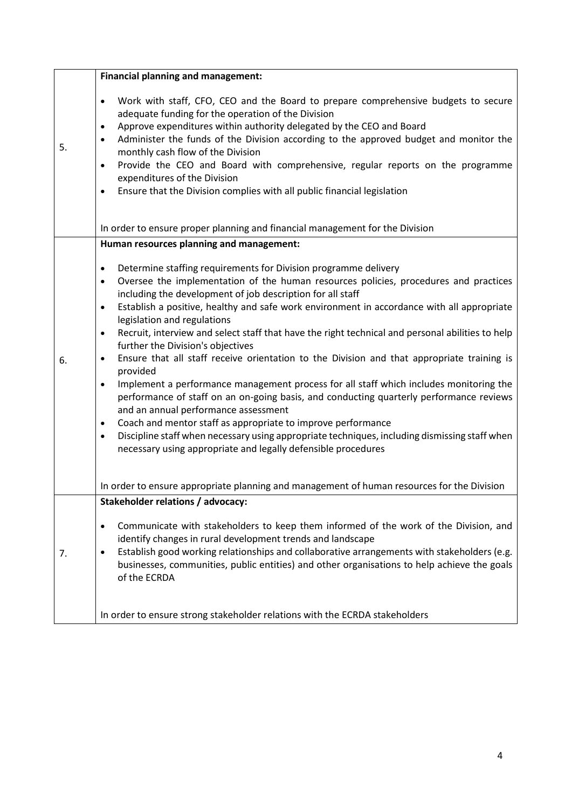|    | <b>Financial planning and management:</b>                                                                                                                                                                                                                                                                                                                                                                                                                                                                                                                                                                                                                                                                                                                                                                                                                                                                                                                                                                                                                                                                                                                                    |
|----|------------------------------------------------------------------------------------------------------------------------------------------------------------------------------------------------------------------------------------------------------------------------------------------------------------------------------------------------------------------------------------------------------------------------------------------------------------------------------------------------------------------------------------------------------------------------------------------------------------------------------------------------------------------------------------------------------------------------------------------------------------------------------------------------------------------------------------------------------------------------------------------------------------------------------------------------------------------------------------------------------------------------------------------------------------------------------------------------------------------------------------------------------------------------------|
| 5. | Work with staff, CFO, CEO and the Board to prepare comprehensive budgets to secure<br>$\bullet$<br>adequate funding for the operation of the Division<br>Approve expenditures within authority delegated by the CEO and Board<br>$\bullet$<br>Administer the funds of the Division according to the approved budget and monitor the<br>$\bullet$<br>monthly cash flow of the Division<br>Provide the CEO and Board with comprehensive, regular reports on the programme<br>$\bullet$<br>expenditures of the Division<br>Ensure that the Division complies with all public financial legislation<br>٠                                                                                                                                                                                                                                                                                                                                                                                                                                                                                                                                                                         |
|    | In order to ensure proper planning and financial management for the Division                                                                                                                                                                                                                                                                                                                                                                                                                                                                                                                                                                                                                                                                                                                                                                                                                                                                                                                                                                                                                                                                                                 |
|    | Human resources planning and management:                                                                                                                                                                                                                                                                                                                                                                                                                                                                                                                                                                                                                                                                                                                                                                                                                                                                                                                                                                                                                                                                                                                                     |
| 6. | Determine staffing requirements for Division programme delivery<br>$\bullet$<br>Oversee the implementation of the human resources policies, procedures and practices<br>$\bullet$<br>including the development of job description for all staff<br>Establish a positive, healthy and safe work environment in accordance with all appropriate<br>$\bullet$<br>legislation and regulations<br>Recruit, interview and select staff that have the right technical and personal abilities to help<br>$\bullet$<br>further the Division's objectives<br>Ensure that all staff receive orientation to the Division and that appropriate training is<br>$\bullet$<br>provided<br>Implement a performance management process for all staff which includes monitoring the<br>$\bullet$<br>performance of staff on an on-going basis, and conducting quarterly performance reviews<br>and an annual performance assessment<br>Coach and mentor staff as appropriate to improve performance<br>$\bullet$<br>Discipline staff when necessary using appropriate techniques, including dismissing staff when<br>$\bullet$<br>necessary using appropriate and legally defensible procedures |
|    | In order to ensure appropriate planning and management of human resources for the Division                                                                                                                                                                                                                                                                                                                                                                                                                                                                                                                                                                                                                                                                                                                                                                                                                                                                                                                                                                                                                                                                                   |
|    | Stakeholder relations / advocacy:                                                                                                                                                                                                                                                                                                                                                                                                                                                                                                                                                                                                                                                                                                                                                                                                                                                                                                                                                                                                                                                                                                                                            |
| 7. | Communicate with stakeholders to keep them informed of the work of the Division, and<br>$\bullet$<br>identify changes in rural development trends and landscape<br>Establish good working relationships and collaborative arrangements with stakeholders (e.g.<br>$\bullet$<br>businesses, communities, public entities) and other organisations to help achieve the goals<br>of the ECRDA                                                                                                                                                                                                                                                                                                                                                                                                                                                                                                                                                                                                                                                                                                                                                                                   |
|    | In order to ensure strong stakeholder relations with the ECRDA stakeholders                                                                                                                                                                                                                                                                                                                                                                                                                                                                                                                                                                                                                                                                                                                                                                                                                                                                                                                                                                                                                                                                                                  |